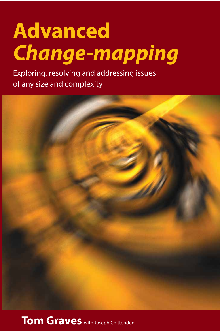## *Change-mapping* Exploring, resolving and addressing issues of **Advanced** *Change-mapping*

Exploring, resolving and addressing issues<br>
The complexity of the complexity of the complexity of the complexity of the complexity of the complexity of th of any size and complexity



**Tom Graves** with Joseph Chittenden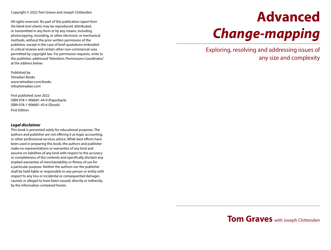Copyright © 2022 Tom Graves and Joseph Chittenden

All rights reserved. No part of this publication *(apart from the blank tool-sheets)* may be reproduced, distributed, or transmitted in any form or by any means, including photocopying, recording, or other electronic or mechanical methods, without the prior written permission of the publisher, except in the case of brief quotations embodied in critical reviews and certain other non-commercial uses permitted by copyright law. For permission requests, write to the publisher, addressed "Attention: Permissions Coordinator," at the address below.

Published by Tetradian Books www.tetradian.com/books info@tetradian.com

First published June 2022 ISBN 978-1-906681-44-9 (Paperback) ISBN 978-1-906681-45-6 (Ebook) First Edition

#### *Legal disclaimer*

This book is presented solely for educational purposes. The authors and publisher are not offering it as legal, accounting, or other professional services advice. While best efforts have been used in preparing this book, the authors and publisher make no representations or warranties of any kind and assume no liabilities of any kind with respect to the accuracy or completeness of the contents and specifically disclaim any implied warranties of merchantability or fitness of use for a particular purpose. Neither the authors nor the publisher shall be held liable or responsible to any person or entity with respect to any loss or incidental or consequential damages caused, or alleged to have been caused, directly or indirectly, by the information contained herein.

# **Advanced**  *Change-mapping*

Exploring, resolving and addressing issues of any size and complexity

## **Tom Graves** with Joseph Chittenden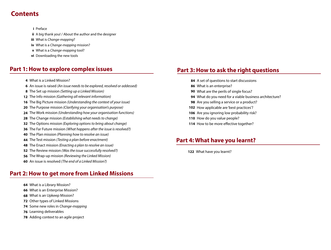## **Contents**

Preface **i**

A big thank you! / About the author and the designer **ii**

What is *Change-mapping*? **iii**

What is a *Change-mapping* mission? **iv**

What is a *Change-mapping* tool? **v**

**vi** Downloading the new tools

## **Part 1: How to explore complex issues**

- What is a Linked Mission?
- An issue is raised *(An issue needs to be explored, resolved or addessed)*
- The Set up mission *(Setting up a Linked Mission)*
- The Info mission *(Gathering all relevant information)*
- The Big Picture mission *(Understanding the context of your issue)*
- The Purpose mission *(Clarifying your organisation's purpose)*
- The Work mission *(Understanding how your organisation functions)*
- The Change mission *(Establishing what needs to change)*
- The Options mission *(Exploring options to bring about change)*
- The Far Future mission *(What happens after the issue is resolved?)*
- The Plan mission *(Planning how to resolve an issue)*
- The Test mission *(Testing a plan before enactment)*
- The Enact mission *(Enacting a plan to resolve an issue)*
- The Review mission *(Was the issue successfully resolved?)*
- The Wrap-up mission *(Reviewing the Linked Mission)*
- An issue is resolved *(The end of a Linked Mission?)*

## **Part 2: How to get more from Linked Missions**

- What is a Library Mission?
- What is an Enterprise Mission?
- What is an Upkeep Mission?
- Other types of Linked Missions
- Some new roles in *Change-mapping*
- Learning deliverables
- Adding context to an agile project

## **Part 3: How to ask the right questions**

- A set of questions to start discussions
- What is an enterprise?
- What are the perils of single focus?
- What do you need for a viable business architecture?
- Are you selling a service or a product?
- 102 How applicable are 'best practices'?
- 106 Are you ignoring low probability risk?
- 110 How do you value people?
- 114 How to be more effective together?

## **Part 4: What have you learnt?**

What have you learnt?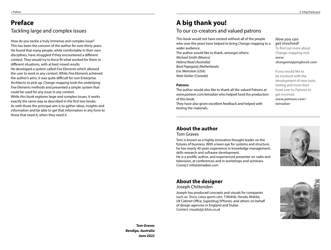## **Preface** Tackling large and complex issues

How do you tackle a truly immense and complex issue? This has been the concern of the author for over thirty years. He found that many people, while comfortable in their own disciplines, have struggled if they encountered a different context. They would try to force fit what worked for them in different situations, with at best mixed results. He developed a system called *Five Elements* which allowed the user to work in any context. While *Five Elements* achieved the author's aims, it was quite difficult for non Enterprise Architects to pick up. *Change-mapping* took the underlying *Five Elements* methods and presented a simple system that could be used for any issue in any context. While this book explores large and complex issues, it works

exactly the same way as described in the first two books. As with those the principal aim is to gather ideas, insights and information and be able to get that information in any form to those that need it, when they need it.

## **A big thank you!**

#### To our co-creators and valued patrons

This book would not have existed without all of the people who over the years have helped to bring *Change-mapping* to a wider audience. The author would like to thank, amongst others: *Michael Smith (Mexico) Helena Read (Australia) Bard Papegaaij (Netherlands)*

The author would also like to thank all the valued Patrons at *www.patreon.com/tetradian* who helped fund the production

They have also given excellent feedback and helped with

*How you can get involved!*

To find out more about Change-mapping visit: *www. changemappingbook.com* 

If you would like to be involved with the development of new tools, testing and more then head over to Patreon to get involved. *www.patreon.com/ tetradian*

#### **About the author**

Tom Graves

*Eric Weinstein (USA) Nate Gerber (Canada)*

**Patrons**

of this book.

testing the materials.

Tom is known as a highly innovative thought leader on the futures of business. With a keen eye for systems and structure, he has nearly 40 years experience in knowledge management, skills research and software development.

He is a prolific author, and experienced presenter on radio and television, at conferences and in workshops and seminars. *Contact: info@tetradian.com*



### **About the designer**

Joseph Chittenden

Joseph has produced concepts and visuals for companies such as: *Tesco, Lotus sports cars, T-Mobile, Honda, Makita, UK Cabinet Office, Superdrug/3Phones,* and others on behalf of design agencies in England and Dubai. *Contact: visuals@jc3dvis.co.uk*



*Tom Graves Bendigo, Australia June 2022*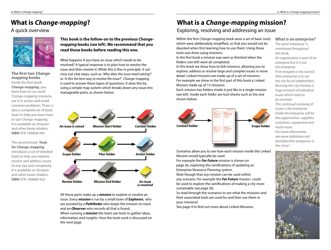## **What is** *Change-mapping***?**

#### A quick overview



**The first two** *Changemapping* **books** Inside the first book: *Change-mapping*, you learn how to run small *Change-mapping* missions, see it in action and avoid common problems. There is also a complete set of basic tools to help you learn how to use *Change-mapping*. It is available on Amazon and other book retailers. **ISBN** 978-1906681401

The second book: *Tools for Change-mapping*  introduces a set of detailed tools to help you explore, resolve and address issues of any size and complexity It is available on Amazon and other book retailers. **ISBN** 978-1906681425

**This book is the follow-on to the previous** *Changemapping* **books** *(see left)***. We recommend that you read those books before reading this one.**

What happens if you have an issue which needs to be resolved? A typical response is to plan how to resolve the issue and then resolve it. While this is fine in principle, it can miss out vital steps, such as *'Why does the issue need solving?'*  or *'Is this the best way to resolve the issue?' Change-mapping* is used to answer these types of questions. It does this by using a simple map system which breaks down any issue into manageable parts, as shown below.



All these parts make up a *mission* to explore or resolve an issue. Every *mission* is run by a small team of *Explorers*, who are assisted by a *Pathfinder* who keeps the mission on track and an *Observer* who records all that is found.

When running a *mission* the team use tools to gather ideas, information and insights. How the tools work is discussed on the next page.

## **What is a** *Change-mapping* **mission?**

#### Exploring, resolving and addressing an issue

Within the first *Change-mapping* book were a set of basic tools which were deliberately simplified, so that you would not be daunted when first learning how to use them. Using these tools was done using missions.

In the first book a mission was seen as finished when the folders *(see left)* were all completed.

In this book we show how to link missions, allowing you to explore, address or resolve large and complex issues in more detail. Linked missions are made up of a set of missions. For example we show in the first part of this book a Linked Mission made up of 13 missions.

Each mission has folders inside it just like in a single mission *(see left)*. Inside each folder are tool-sheets such as the one shown below.



Scenarios allow you to see how each mission inside the Linked Mission would typically be used.

For example the *Far Future* mission is shown on page 36, exploring the ramifications of updating an Enterprise Resource Planning system.

Note though that *any* mission can be used within *any* scenario. For example the *Far Future* mission could be used to explore the ramifications of making a city more sustainable *(see page 36)*.

So read through the scenarios to see what the missions and their associated tools are used for and then use them in your missions!

See page 4 to find out more about Linked Missions.

*What is an enterprise? The word 'enterprise' is mentioned throughout this book. An organisation is part of an enterprise but it is not the enterprise. If we imagine a city council, their enterprise is to run the city for all stakeholders. Running the city involves a huge amount of individual issues which need to be resolved. This continual resolving of issues is the enterprise. Inside the enterprise will be the organisation, suppliers, customers, equipment and much more. For more information see www.slideshare.net/ tetradian/the-enterprise-is-*

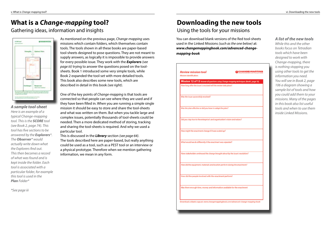## **What is a** *Change-mapping* **tool?**

As mentioned on the previous page, *Change-mapping* uses missions which contain folders, which themselves contain tools. The tools shown in all these books are paper-based tool-sheets designed to pose questions. They are not meant to supply answers, as logically it is impossible to provide answers for every possible issue. They work with the *Explorers (see page iii)* trying to answer the questions posed on the toolsheets. Book 1 introduced some very simple tools, while Book 2 expanded the tool-set with more detailed tools. This book also describes some new tools, which are

One of the key points of *Change-mapping* is that tools are connected so that people can see where they are used and if they have been filled in. When you are running a simple single mission it should be easy to store and share the tool-sheets and what was written on them. But when you tackle large and complex issues, potentially thousands of tool-sheets could be needed. Then a more dedicated method of storing, tracking and sharing the tool-sheets is required. And why we used a

This is discussed in the *Library* section *(see page 64)*.

information, we mean in any form.

The tools described here are paper-based, but really anything could be used as a tool, such as a PEST tool or an interview or a physical prototype. Therefore when we mention gathering

described in detail in this book *(see right)*.

particular tool.

Gathering ideas, information and insights



#### *A sample tool-sheet*

*Here is an example of a typical Change-mapping tool. This is the SCORE tool (see Book 2, page 74). This tool has five sections to be answered by the Explorers\*. The Observer\* would actually write down what the Explorers find out. This then becomes a record of what was found and is kept inside the folder. Each tool is associated with a particular folder, for example this tool is used in the Plan Folder\**

*\*See page iii*

## **Downloading the new tools**

#### Using the tools for your missions

You can download blank versions of the Red tool-sheets used in the Linked Missions *(such as the one below)* at: *www.changemappingbook.com/advanced-changemapping-book*

| Mission identification:                                                        | Mission 12 of 13 Answer all questions using Change-mapping techniques (Book1, page 18). |
|--------------------------------------------------------------------------------|-----------------------------------------------------------------------------------------|
| How long after the issue is resolved will the review take place?               |                                                                                         |
| Was the issue successfully resolved?                                           |                                                                                         |
| Was the plan effective or did you have to adapt the plan?                      |                                                                                         |
| Did you stay true to the enterprise's and organisation's vision and values?    |                                                                                         |
| How might the enactment change if it was scaled up?                            |                                                                                         |
| What weuld we do differently if the enactment was repeated?                    |                                                                                         |
| Have stakeholders embraced the change brought about by the issue's resolution? |                                                                                         |
| How did the equipment, materials and location perform during the enactment?    |                                                                                         |
| How did the people involved with the enactment perform?                        |                                                                                         |
| Was there enough time, money and information available for the enactment       |                                                                                         |
|                                                                                |                                                                                         |

#### *A list of the new tools*

*While this and the other books focus on Tetradian tools which have been designed to work with Change-mapping, there is nothing stopping you using other tools to get the information you need. You will see in Book 2, page 106 a diagram showing a sample list of tools and how you could add them to your missions. Many of the pages in this book also list useful tools and when to use them inside Linked Missions.*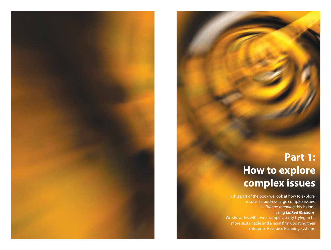## **Part 1: How to explore complex issues**

In this part of the book we look at how to explore, resolve or address large complex issues. In *Change-mapping* this is done using *Linked Missions*. We show this with two examples, a city trying to be more sustainable and a legal firm updating their Enterprise Resource Planning systems.

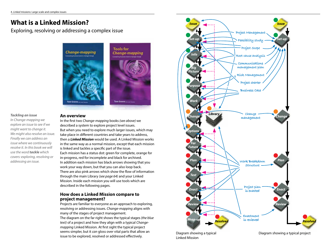## **What is a Linked Mission?**

Exploring, resolving or addressing a complex issue



#### **Tools for** Change-mapping



#### *Tackling an issue*

*In Change-mapping we explore an issue to see if we might want to change it. We might also resolve an issue. Finally we can address an issue where we continuously resolve it. In this book we will use the word tackle which covers: exploring, resolving or addressing an issue.* 

#### **An overview**

In the first two *Change-mapping* books *(see above)* we described a system to explore project level issues. But when you need to explore much larger issues, which may take place in different countries and take years to address, then a *Linked Mission* would be used. A Linked Mission works in the same way as a normal mission, except that each mission is linked and tackles a specific part of the issue. Each mission has a status dot: green for complete, orange for in-progress, red for incomplete and black for archived. In addition each mission has black arrows showing that you work your way down, but that you can also loop back. There are also pink arrows which show the flow of information through the main Library *(see page 64)* and your Linked Mission. Inside each mission you will use tools which are described in the following pages.

#### **How does a Linked Mission compare to project management?**

Projects are familiar to everyone as an approach to exploring, resolving or addressing issues. *Change-mapping* aligns with many of the stages of project management. The diagram on the far right shows the typical stages *(the blue text)* of a project and how they align with a typical *Changemapping* Linked Mission. At first sight the typical project seems simpler, but it *can* gloss over vital parts that allow an issue to be explored, resolved or addressed effectively.



Diagram showing a typical Linked Mission

Diagram showing a typical project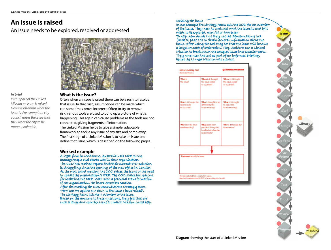## **An issue is raised**

An issue needs to be explored, resolved or addressed



#### *In brief*

*In this part of the Linked Mission an issue is raised. Here we establish what the issue is. For example, a city council raises the issue that they want the city to be more sustainable.*

#### **What is the issue?**

Often when an issue is raised there can be a rush to resolve that issue. In that rush, assumptions can be made which can sometimes prove incorrect. Often to try to remove risk, various tools are used to build up a picture of what is happening. This again can cause problems as the tools are not connected, giving fragments of information. The Linked Mission helps to give a simple, adaptable framework to tackle any issue of any size and complexity. The first stage of a Linked Mission is to raise an issue and define that issue, which is described on the following pages.

#### **Worked example**

A legal firm in Melbourne, Australia uses ERP to help manage people and assets within their organisation. The COO has received reports that their current ERP solution is struggling since the opening of the new office in London. At the next board meeting the COO raises the issue of the need to update the organisation's ERP. The COO states his reasons for updating the ERP. With such a potential transformation of the organisation, the board expresses caution. After the meeting the COO assembles the Strategy team. "How can we update our ERP, is the issue I have raised". The strategy team ask for a overview of the issue. Based on the answers to these questions, they feel that for such a large and complex issue a Linked Mission could help.

#### Raising the issue

In our example the strategy team ask the COO for an overview of the issue. They need to work out what the issue is and if it needs to be explored, resolved or addressed. To help them decide this they use the Sense-making tool (Book 2, page 10) to obtain general information about the issue. After using the tool they see that the issue will involve a large amount of exploration. They decide to use a Linked Mission to break down the complex issue into smaller parts. They have used the tool as part of an informal briefing, before the Linked Mission was started.

| <b>What is</b><br>the issue?                          | When is it thought<br>the issue occurs<br>or occurred?                           | Where is it thought<br>the issue occurs<br>or occurred? |
|-------------------------------------------------------|----------------------------------------------------------------------------------|---------------------------------------------------------|
| How is it thought the<br>issue occurs<br>or occurred? | Who is thought to be<br>affected by the<br>issue occurring?                      | What is it thought<br>to cause the<br>issue occurring?  |
| Why does the issue<br>need resolving?                 | What apart from<br>people is thought to<br>be affected when the<br>issue occurs? | Why is it thought the<br>issue occurs?                  |
| Statement about the issue:                            |                                                                                  |                                                         |

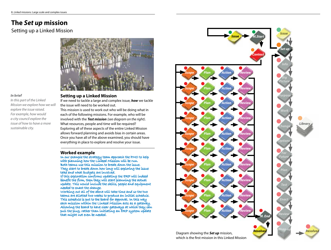## **The** *Set up* **mission**

## Setting up a Linked Mission



#### *In brief*

*In this part of the Linked Mission we explore how we will explore the issue raised. For example, how would a city council explore the issue of how to have a more sustainable city.*

#### **Setting up a Linked Mission**

If we need to tackle a large and complex issue, *how* we tackle the issue will need to be worked out.

This mission is used to work out who will be doing what in each of the following missions. For example, who will be involved with the *Test mission (see diagram on the right)*. What resources, people and time will be required? Exploring all of these aspects of the entire Linked Mission allows forward planning and avoids bias in certain areas. Once you have all of the above examined, you should have everything in place to explore and resolve your issue.

#### **Worked example**

In our example the strategy team approach the PMO to help with planning how the Linked Mission will be run. Both teams use this mission to break down the issue. They start to break down how long will exploring the issue take and what budgets are involved.

If this exploration confirms updating the ERP will indeed benefit the firm, then they will start planning the actual update. This would include the skills, people and equipment needed to enact the change.

Working out all of the above will take time and so the two teams are allotted two weeks to produce an initial schedule. This schedule is put to the board for approval. In this way each mission within the Linked Mission acts as a gateway. Allowing the board to have clear gateways at which they can pull the plug, rather than initiating an ERP system update that might not even be needed.

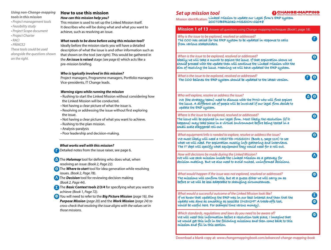#### *Using non-Change-mapping tools in this mission*

- *Project management tools*
- *Feasibility study*
- *Project Scope document*
- *Project Charter*
- *RACI*
- *PRINCE2*
- *These tools could be used alongside the questions shown on the right.*

#### **How to use this mission** *How can this mission help you?*

This mission is used to set up the Linked Mission itself. It describes who will be doing what and what you want to achieve, such as resolving an issue.

#### *What needs to be done before using this mission tool?* Ideally before the mission starts you will have a detailed

description of what the issue is and other information such as that shown on the tool *(see right)*. This would be gathered in the *An issue is raised* stage *(see page 6)* which acts like a pre-mission briefing.

#### *Who is typically involved in this mission?*

Project managers, Programme managers, Portfolio managers Vice-presidents, IT Change leads.

#### *Warning signs while running the mission*

- Rushing to start the Linked Mission without considering how the Linked Mission will be conducted.
- Not having a clear picture of what the issue is.
- Resolving or addressing the issue without first exploring the issue.
- Not having a clear picture of what you want to achieve.
- Rushing to the plan mission.
- Analysis-paralysis
- Poor leadership and decision-making.

#### *What works well with this mission?*

Detailed notes from the issue raiser, see page 6. **Γ**

- The *Holomap* tool for defining who does what, when **Δ**  resolving an issue *(Book 2, Page 22)*.
- The *Where to start* tool for idea generation while resolving **Θ** issues. *(Book 2, Page 78)*.
- **Λ**) The **Decision** tool for reviewing decision making *(Book 2, Page 44)*.
- The *Basic Context tools 2/3/4* for specifying what you want to **Σ** achieve *(Book 1, Page 72)*.
- **0** You will need to refer to the **Big Picture Mission** (page 16), the *Purpose Mission (page 20)* and the *Work Mission (page 24) to cross-check that resolving the issue aligns with the values set in those missions.*

#### *Set up mission tool*

#### (**)** CHANGE→MAPPING

Mission identification: Linked Mission to update our Legal firm's ERP system 2OCTOBER2032-MISSION-02048

| <b>Mission 1 of 13</b> Answer all questions using Change-mapping techniques (Book1, page 18).                                                                                                                                                                                                            |                          |
|----------------------------------------------------------------------------------------------------------------------------------------------------------------------------------------------------------------------------------------------------------------------------------------------------------|--------------------------|
| Why is the issue to be explored, resolved or addressed?<br>The COO has called for the ERP system to be updated in response to calls<br>from various stakeholders.                                                                                                                                        |                          |
| When is the issue to be explored, resolved or addressed?<br>Ideally we will take a month to explore the issue. If that exploration shows we<br>should proceed with the update then will continue the Linked Mission with the<br>aim of resolving the issue. Meaning we will have updated the ERP system. | $\left( \bullet \right)$ |
| What is the issue to be explored, resolved or addressed?<br>The COO believes the ERP system should be updated to the latest version.                                                                                                                                                                     | $\blacksquare$ $\Theta$  |
| Who will explore, resolve or address the issue?<br>We (the strategy team) need to discuss with the PMO who will first explore<br>the issue. A different set of people will be involved if our legal firm decide to<br>update the ERP system.                                                             | $\Delta$ (0)             |
| Where is the issue to be explored, resolved or addressed?<br>The issue will be explored in our legal firm. Most likely the resolution (if it<br>happens) may take place in a virtual environment before being tested in a<br>small scale staggered roll-out.                                             | $\left( \circ \right)$   |
| What equipment/info is needed to explore, resolve or address the issue?<br>We most likely will need a NESTED MISSION (Book 1, page 114) to see<br>what we will need. For exploration mostly info gathering and interviews.<br>The IT dept will specify what equipment they would need for a roll-out.    | $\left( \bullet \right)$ |
| How will decisions be made during the Linked Mission?<br>We will use each mission inside the Linked Mission as a gateway for<br>decision making. But we also need to avoid rushed, uninformed decisions.                                                                                                 | $\Lambda$                |
| What would happen if the issue was not explored, resolved or addressed?<br>The missions will confirm this, but at a guess either we will carry on as<br>before or we will be less adaptable to changing circumstances.                                                                                   | $\bullet$                |
| What would a successful outcome of the Linked Mission look like?<br>If we knew that updating the ERP was in our best interest and then that the<br>update was done as smoothly as possible (INSIGHT A trade-offs tool,<br>would be useful here. For example time versus money).                          | Σ<br>$\boldsymbol{\Phi}$ |
| Which standards, regulations and laws do you need to be aware of?<br>We will need this information before a resolution took place, I imagine that<br>we would get this info in the following missions and then come back to this<br>mission and fill in this section.                                    | $\bullet$                |